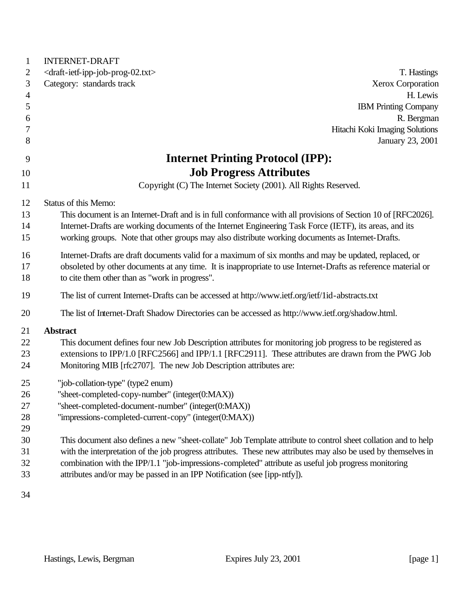| $\mathbf{1}$   | <b>INTERNET-DRAFT</b>                                                                                          |
|----------------|----------------------------------------------------------------------------------------------------------------|
| 2              | <draft-ietf-ipp-job-prog-02.txt><br/>T. Hastings</draft-ietf-ipp-job-prog-02.txt>                              |
| 3              | Category: standards track<br><b>Xerox Corporation</b>                                                          |
| $\overline{4}$ | H. Lewis                                                                                                       |
| 5              | <b>IBM Printing Company</b>                                                                                    |
| 6              | R. Bergman                                                                                                     |
| 7              | Hitachi Koki Imaging Solutions                                                                                 |
| 8              | January 23, 2001                                                                                               |
| 9              | <b>Internet Printing Protocol (IPP):</b>                                                                       |
| 10             | <b>Job Progress Attributes</b>                                                                                 |
| 11             | Copyright (C) The Internet Society (2001). All Rights Reserved.                                                |
| 12             | Status of this Memo:                                                                                           |
| 13             | This document is an Internet-Draft and is in full conformance with all provisions of Section 10 of [RFC2026].  |
| 14             | Internet-Drafts are working documents of the Internet Engineering Task Force (IETF), its areas, and its        |
| 15             | working groups. Note that other groups may also distribute working documents as Internet-Drafts.               |
| 16             | Internet-Drafts are draft documents valid for a maximum of six months and may be updated, replaced, or         |
| 17             | obsoleted by other documents at any time. It is inappropriate to use Internet-Drafts as reference material or  |
| 18             | to cite them other than as "work in progress".                                                                 |
|                |                                                                                                                |
| 19             | The list of current Internet-Drafts can be accessed at http://www.ietf.org/ietf/1id-abstracts.txt              |
| 20             | The list of Internet-Draft Shadow Directories can be accessed as http://www.ietf.org/shadow.html.              |
| 21             | <b>Abstract</b>                                                                                                |
| 22             | This document defines four new Job Description attributes for monitoring job progress to be registered as      |
| 23             | extensions to IPP/1.0 [RFC2566] and IPP/1.1 [RFC2911]. These attributes are drawn from the PWG Job             |
| 24             | Monitoring MIB [rfc2707]. The new Job Description attributes are:                                              |
| 25             | "job-collation-type" (type2 enum)                                                                              |
| 26             | "sheet-completed-copy-number" (integer(0:MAX))                                                                 |
| 27             | "sheet-completed-document-number" (integer(0:MAX))                                                             |
| 28             | "impressions-completed-current-copy" (integer(0:MAX))                                                          |
| 29             |                                                                                                                |
| 30             | This document also defines a new "sheet-collate" Job Template attribute to control sheet collation and to help |
| 31             | with the interpretation of the job progress attributes. These new attributes may also be used by themselves in |
| 32             | combination with the IPP/1.1 "job-impressions-completed" attribute as useful job progress monitoring           |
| 33             | attributes and/or may be passed in an IPP Notification (see [ipp-ntfy]).                                       |
|                |                                                                                                                |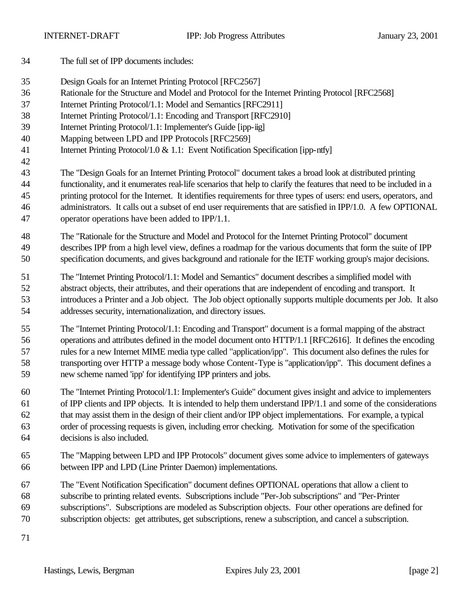- The full set of IPP documents includes:
- Design Goals for an Internet Printing Protocol [RFC2567]
- Rationale for the Structure and Model and Protocol for the Internet Printing Protocol [RFC2568]
- Internet Printing Protocol/1.1: Model and Semantics [RFC2911]
- Internet Printing Protocol/1.1: Encoding and Transport [RFC2910]
- 39 Internet Printing Protocol/1.1: Implementer's Guide [ipp-iig]
- Mapping between LPD and IPP Protocols [RFC2569]
- 41 Internet Printing Protocol/1.0 & 1.1: Event Notification Specification [ipp-ntfy]
- The "Design Goals for an Internet Printing Protocol" document takes a broad look at distributed printing functionality, and it enumerates real-life scenarios that help to clarify the features that need to be included in a printing protocol for the Internet. It identifies requirements for three types of users: end users, operators, and administrators. It calls out a subset of end user requirements that are satisfied in IPP/1.0. A few OPTIONAL operator operations have been added to IPP/1.1.
- The "Rationale for the Structure and Model and Protocol for the Internet Printing Protocol" document describes IPP from a high level view, defines a roadmap for the various documents that form the suite of IPP specification documents, and gives background and rationale for the IETF working group's major decisions.
- The "Internet Printing Protocol/1.1: Model and Semantics" document describes a simplified model with abstract objects, their attributes, and their operations that are independent of encoding and transport. It introduces a Printer and a Job object. The Job object optionally supports multiple documents per Job. It also addresses security, internationalization, and directory issues.
- The "Internet Printing Protocol/1.1: Encoding and Transport" document is a formal mapping of the abstract operations and attributes defined in the model document onto HTTP/1.1 [RFC2616]. It defines the encoding rules for a new Internet MIME media type called "application/ipp". This document also defines the rules for transporting over HTTP a message body whose Content-Type is "application/ipp". This document defines a new scheme named 'ipp' for identifying IPP printers and jobs.
- The "Internet Printing Protocol/1.1: Implementer's Guide" document gives insight and advice to implementers of IPP clients and IPP objects. It is intended to help them understand IPP/1.1 and some of the considerations that may assist them in the design of their client and/or IPP object implementations. For example, a typical order of processing requests is given, including error checking. Motivation for some of the specification decisions is also included.
- The "Mapping between LPD and IPP Protocols" document gives some advice to implementers of gateways between IPP and LPD (Line Printer Daemon) implementations.
- The "Event Notification Specification" document defines OPTIONAL operations that allow a client to subscribe to printing related events. Subscriptions include "Per-Job subscriptions" and "Per-Printer subscriptions". Subscriptions are modeled as Subscription objects. Four other operations are defined for subscription objects: get attributes, get subscriptions, renew a subscription, and cancel a subscription.
-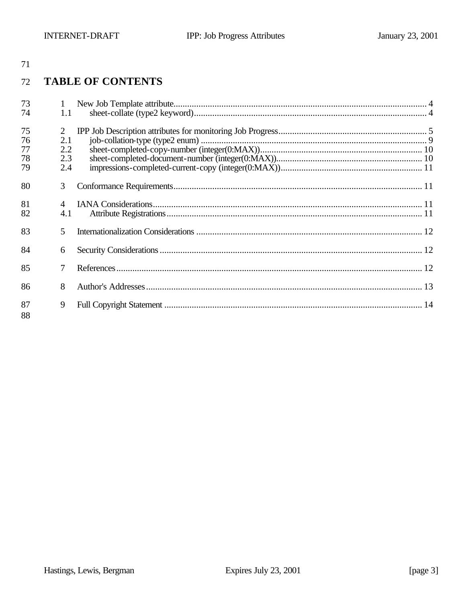#### **TABLE OF CONTENTS** 72

| 73 | 1   |  |
|----|-----|--|
| 74 | 1.1 |  |
| 75 | 2   |  |
| 76 | 2.1 |  |
| 77 | 2.2 |  |
| 78 | 2.3 |  |
| 79 | 2.4 |  |
| 80 | 3   |  |
| 81 |     |  |
| 82 | 4.1 |  |
| 83 | 5   |  |
| 84 | 6   |  |
| 85 |     |  |
|    |     |  |
| 86 | 8   |  |
| 87 | 9   |  |
| 88 |     |  |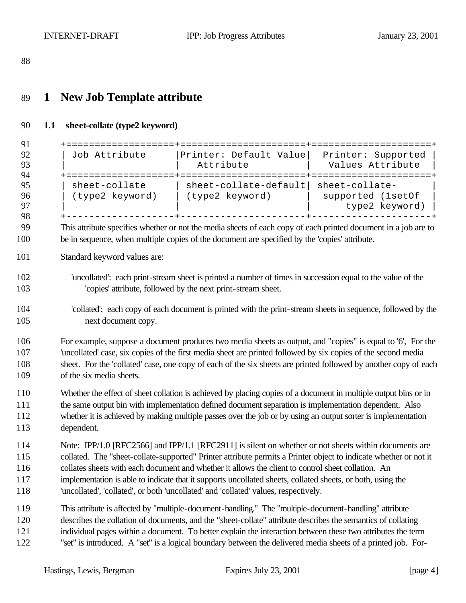# **1 New Job Template attribute**

### **1.1 sheet-collate (type2 keyword)**

| + = = = = = = = = = = = = = = = = = =                                                                                                                                                                                                                                                                                                                                                                                                                                                                                                |                                                                                                                                                                                                                 |                                        |  |  |
|--------------------------------------------------------------------------------------------------------------------------------------------------------------------------------------------------------------------------------------------------------------------------------------------------------------------------------------------------------------------------------------------------------------------------------------------------------------------------------------------------------------------------------------|-----------------------------------------------------------------------------------------------------------------------------------------------------------------------------------------------------------------|----------------------------------------|--|--|
| Job Attribute                                                                                                                                                                                                                                                                                                                                                                                                                                                                                                                        | Printer: Default Value<br>Attribute                                                                                                                                                                             | Printer: Supported<br>Values Attribute |  |  |
|                                                                                                                                                                                                                                                                                                                                                                                                                                                                                                                                      | sheet-collate   sheet-collate-default  sheet-collate-<br>(type2 keyword)   (type2 keyword)<br><b>Contract Contract State</b>                                                                                    | supported (1set0f<br>type2 keyword)    |  |  |
|                                                                                                                                                                                                                                                                                                                                                                                                                                                                                                                                      | This attribute specifies whether or not the media sheets of each copy of each printed document in a job are to<br>be in sequence, when multiple copies of the document are specified by the 'copies' attribute. |                                        |  |  |
| Standard keyword values are:                                                                                                                                                                                                                                                                                                                                                                                                                                                                                                         |                                                                                                                                                                                                                 |                                        |  |  |
|                                                                                                                                                                                                                                                                                                                                                                                                                                                                                                                                      | 'uncollated': each print-stream sheet is printed a number of times in succession equal to the value of the<br>'copies' attribute, followed by the next print-stream sheet.                                      |                                        |  |  |
| 'collated': each copy of each document is printed with the print-stream sheets in sequence, followed by the<br>next document copy.                                                                                                                                                                                                                                                                                                                                                                                                   |                                                                                                                                                                                                                 |                                        |  |  |
| For example, suppose a document produces two media sheets as output, and "copies" is equal to '6', For the<br>'uncollated' case, six copies of the first media sheet are printed followed by six copies of the second media<br>sheet. For the 'collated' case, one copy of each of the six sheets are printed followed by another copy of each<br>of the six media sheets.                                                                                                                                                           |                                                                                                                                                                                                                 |                                        |  |  |
| Whether the effect of sheet collation is achieved by placing copies of a document in multiple output bins or in<br>the same output bin with implementation defined document separation is implementation dependent. Also<br>whether it is achieved by making multiple passes over the job or by using an output sorter is implementation<br>dependent.                                                                                                                                                                               |                                                                                                                                                                                                                 |                                        |  |  |
| Note: IPP/1.0 [RFC2566] and IPP/1.1 [RFC2911] is silent on whether or not sheets within documents are<br>collated. The "sheet-collate-supported" Printer attribute permits a Printer object to indicate whether or not it<br>collates sheets with each document and whether it allows the client to control sheet collation. An<br>implementation is able to indicate that it supports uncollated sheets, collated sheets, or both, using the<br>'uncollated', 'collated', or both 'uncollated' and 'collated' values, respectively. |                                                                                                                                                                                                                 |                                        |  |  |
| This attribute is affected by "multiple-document-handling." The "multiple-document-handling" attribute<br>describes the collation of documents, and the "sheet-collate" attribute describes the semantics of collating<br>individual pages within a document. To better explain the interaction between these two attributes the term<br>"set" is introduced. A "set" is a logical boundary between the delivered media sheets of a printed job. For-                                                                                |                                                                                                                                                                                                                 |                                        |  |  |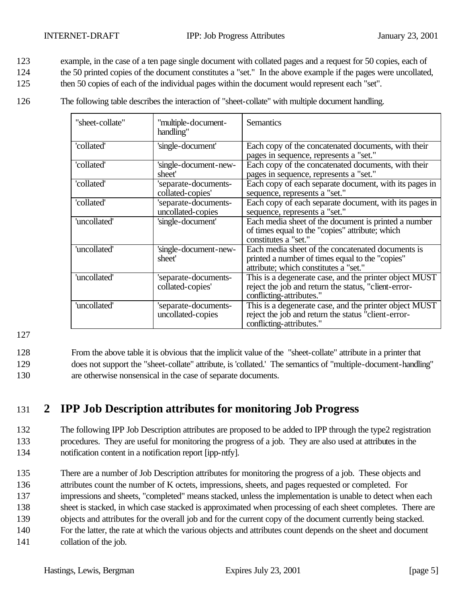- 123 example, in the case of a ten page single document with collated pages and a request for 50 copies, each of
- 124 the 50 printed copies of the document constitutes a "set." In the above example if the pages were uncollated,
- 125 then 50 copies of each of the individual pages within the document would represent each "set".
- 126 The following table describes the interaction of "sheet-collate" with multiple document handling.

| "sheet-collate" | ''multiple-document-<br>handling"         | <b>Semantics</b>                                                                                                                              |
|-----------------|-------------------------------------------|-----------------------------------------------------------------------------------------------------------------------------------------------|
| 'collated'      | 'single-document'                         | Each copy of the concatenated documents, with their<br>pages in sequence, represents a "set."                                                 |
| 'collated'      | 'single-document-new-<br>sheet'           | Each copy of the concatenated documents, with their<br>pages in sequence, represents a "set."                                                 |
| 'collated'      | 'separate-documents-<br>collated-copies'  | Each copy of each separate document, with its pages in<br>sequence, represents a "set."                                                       |
| 'collated'      | 'separate-documents-<br>uncollated-copies | Each copy of each separate document, with its pages in<br>sequence, represents a "set."                                                       |
| 'uncollated'    | 'single-document'                         | Each media sheet of the document is printed a number<br>of times equal to the "copies" attribute; which<br>constitutes a "set."               |
| 'uncollated'    | 'single-document-new-<br>sheet'           | Each media sheet of the concatenated documents is<br>printed a number of times equal to the "copies"<br>attribute; which constitutes a "set." |
| 'uncollated'    | 'separate-documents-<br>collated-copies'  | This is a degenerate case, and the printer object MUST<br>reject the job and return the status, "client-error-<br>conflicting-attributes."    |
| 'uncollated'    | 'separate-documents-<br>uncollated-copies | This is a degenerate case, and the printer object MUST<br>reject the job and return the status "client-error-<br>conflicting-attributes."     |

128 From the above table it is obvious that the implicit value of the "sheet-collate" attribute in a printer that 129 does not support the "sheet-collate" attribute, is 'collated.' The semantics of "multiple-document-handling" 130 are otherwise nonsensical in the case of separate documents.

# 131 **2 IPP Job Description attributes for monitoring Job Progress**

### 132 The following IPP Job Description attributes are proposed to be added to IPP through the type2 registration 133 procedures. They are useful for monitoring the progress of a job. They are also used at attributes in the 134 notification content in a notification report [ipp-ntfy].

- 135 There are a number of Job Description attributes for monitoring the progress of a job. These objects and 136 attributes count the number of K octets, impressions, sheets, and pages requested or completed. For
- 137 impressions and sheets, "completed" means stacked, unless the implementation is unable to detect when each
- 138 sheet is stacked, in which case stacked is approximated when processing of each sheet completes. There are
- 139 objects and attributes for the overall job and for the current copy of the document currently being stacked.
- 140 For the latter, the rate at which the various objects and attributes count depends on the sheet and document
- 141 collation of the job.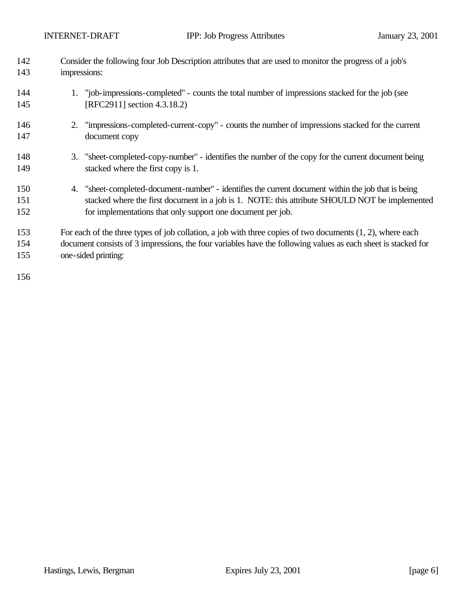| 142 | Consider the following four Job Description attributes that are used to monitor the progress of a job's       |  |  |
|-----|---------------------------------------------------------------------------------------------------------------|--|--|
| 143 | impressions:                                                                                                  |  |  |
| 144 | 1. "job-impressions-completed" - counts the total number of impressions stacked for the job (see              |  |  |
| 145 | [RFC2911] section 4.3.18.2)                                                                                   |  |  |
| 146 | 2. "impressions-completed-current-copy" - counts the number of impressions stacked for the current            |  |  |
| 147 | document copy                                                                                                 |  |  |
| 148 | 3. "sheet-completed-copy-number" - identifies the number of the copy for the current document being           |  |  |
| 149 | stacked where the first copy is 1.                                                                            |  |  |
| 150 | 4. "sheet-completed-document-number" - identifies the current document within the job that is being           |  |  |
| 151 | stacked where the first document in a job is 1. NOTE: this attribute SHOULD NOT be implemented                |  |  |
| 152 | for implementations that only support one document per job.                                                   |  |  |
| 153 | For each of the three types of job collation, a job with three copies of two documents $(1, 2)$ , where each  |  |  |
| 154 | document consists of 3 impressions, the four variables have the following values as each sheet is stacked for |  |  |
| 155 | one-sided printing:                                                                                           |  |  |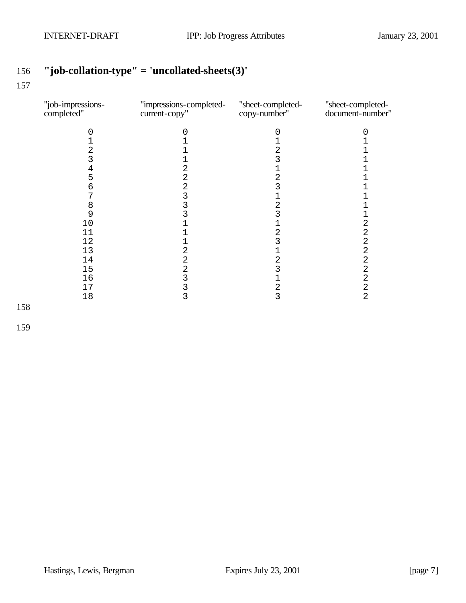# **"job-collation-type" = 'uncollated-sheets(3)'**

#### 

| "job-impressions-<br>completed" | "impressions-completed-<br>current-copy" | "sheet-completed-<br>copy-number" | "sheet-completed-<br>document-number" |
|---------------------------------|------------------------------------------|-----------------------------------|---------------------------------------|
|                                 |                                          | O                                 |                                       |
|                                 |                                          |                                   |                                       |
| 2                               |                                          | 2                                 |                                       |
| 3                               |                                          | 3                                 |                                       |
| 4                               | 2                                        |                                   |                                       |
| 5                               | 2                                        | 2                                 |                                       |
| 6                               | 2                                        |                                   |                                       |
|                                 | 3                                        |                                   |                                       |
| 8                               |                                          | 2                                 |                                       |
| 9                               |                                          |                                   |                                       |
| 10                              |                                          |                                   | 2                                     |
| 11                              |                                          | 2                                 | 2                                     |
| 12                              |                                          | 3                                 | 2                                     |
| 13                              | 2                                        | 1                                 | 2                                     |
| 14                              | 2                                        | 2                                 | 2                                     |
| 15                              | 2                                        | 3                                 | $\mathbf 2$                           |
| 16                              | 3                                        | 1                                 | $\overline{2}$                        |
| 17                              |                                          | 2                                 | 2                                     |
| 18                              | 3                                        | 3                                 | $\overline{2}$                        |
|                                 |                                          |                                   |                                       |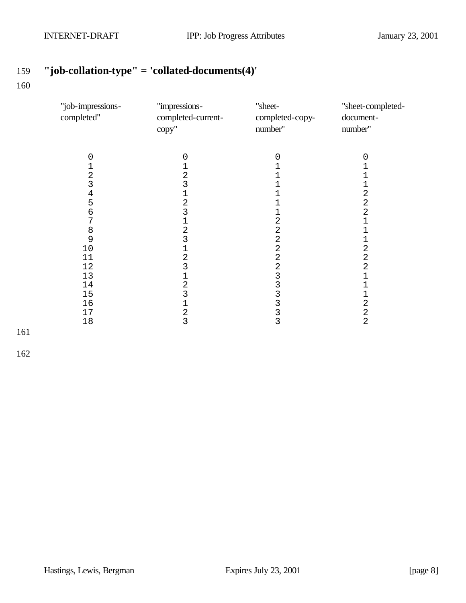# **"job-collation-type" = 'collated-documents(4)'**

| "job-impressions-<br>completed"                                                                                         | "impressions-<br>completed-current-<br>copy"                                                                                                                              | "sheet-<br>completed-copy-<br>number"                                                                                                       | "sheet-completed-<br>document-<br>number"                                                                                                                                                                                                                                           |
|-------------------------------------------------------------------------------------------------------------------------|---------------------------------------------------------------------------------------------------------------------------------------------------------------------------|---------------------------------------------------------------------------------------------------------------------------------------------|-------------------------------------------------------------------------------------------------------------------------------------------------------------------------------------------------------------------------------------------------------------------------------------|
| $\mathbf 0$<br>1234567<br>$\begin{array}{c} 8 \\ 9 \end{array}$<br>$10$<br>11<br>12<br>13<br>14<br>15<br>16<br>17<br>18 | 0<br>1<br>2<br>3<br>1<br>$\overline{a}$<br>3<br>1<br>$\overline{c}$<br>3<br>1<br>$\overline{2}$<br>3<br>1<br>$\overline{c}$<br>$\overline{3}$<br>1<br>$\overline{2}$<br>3 | 0<br>2<br>$\overline{2}$<br>$\overline{2}$<br>$\overline{2}$<br>$\overline{2}$<br>$\overline{2}$<br>3<br>3<br>3<br>3<br>3<br>$\overline{3}$ | 0<br>1<br>$\overline{1}$<br>$\overline{1}$<br>$\overline{a}$<br>$\overline{a}$<br>$\overline{a}$<br>$\mathbf{1}$<br>$\mathbf 1$<br>1<br>$\overline{a}$<br>$\overline{a}$<br>$\overline{a}$<br>$\overline{1}$<br>$\overline{1}$<br>$\overline{1}$<br>$\overline{a}$<br>$\frac{2}{2}$ |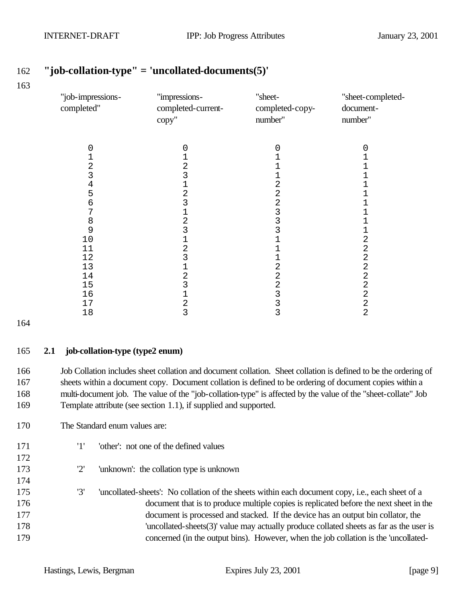| "job-impressions-<br>completed" | "impressions-<br>completed-current-<br>copy" | "sheet-<br>completed-copy-<br>number" | "sheet-completed-<br>document-<br>number" |
|---------------------------------|----------------------------------------------|---------------------------------------|-------------------------------------------|
|                                 |                                              |                                       |                                           |
| 0                               | 0                                            | 0                                     | 0                                         |
|                                 |                                              |                                       |                                           |
| 2<br>3                          | 2<br>3                                       |                                       |                                           |
| 4                               | 1                                            | 2                                     |                                           |
| 5                               | 2                                            | $\overline{c}$                        |                                           |
| б                               | 3                                            | $\overline{a}$                        |                                           |
| 7                               | 1                                            |                                       |                                           |
| 8                               | 2                                            | $\frac{3}{3}$                         |                                           |
| 9                               | 3                                            | 3                                     |                                           |
| 10                              | $\mathbf 1$                                  |                                       | $\overline{\mathbf{c}}$                   |
| 11                              | $\overline{a}$                               | 1                                     | $\overline{2}$                            |
| 12                              | 3                                            |                                       | $\sqrt{2}$                                |
| 13                              | $\mathbf 1$                                  | $\overline{2}$                        | $\sqrt{2}$                                |
| 14                              | 2                                            | $\overline{c}$                        | $\sqrt{2}$                                |
| 15                              | 3                                            | $\overline{c}$                        | $\sqrt{2}$                                |
| 16                              | $\mathbf 1$                                  | 3                                     | $\overline{a}$                            |
| 17                              | $\mathbf 2$                                  | 3                                     | 2                                         |
| 18                              | 3                                            | 3                                     | $\overline{2}$                            |

### **"job-collation-type" = 'uncollated-documents(5)'**

#### **2.1 job-collation-type (type2 enum)**

 Job Collation includes sheet collation and document collation. Sheet collation is defined to be the ordering of sheets within a document copy. Document collation is defined to be ordering of document copies within a multi-document job. The value of the "job-collation-type" is affected by the value of the "sheet-collate" Job Template attribute (see section 1.1), if supplied and supported.

- The Standard enum values are:
- '1' 'other': not one of the defined values
- '2' 'unknown': the collation type is unknown
- '3' 'uncollated-sheets': No collation of the sheets within each document copy, i.e., each sheet of a document that is to produce multiple copies is replicated before the next sheet in the document is processed and stacked. If the device has an output bin collator, the 'uncollated-sheets(3)' value may actually produce collated sheets as far as the user is concerned (in the output bins). However, when the job collation is the 'uncollated-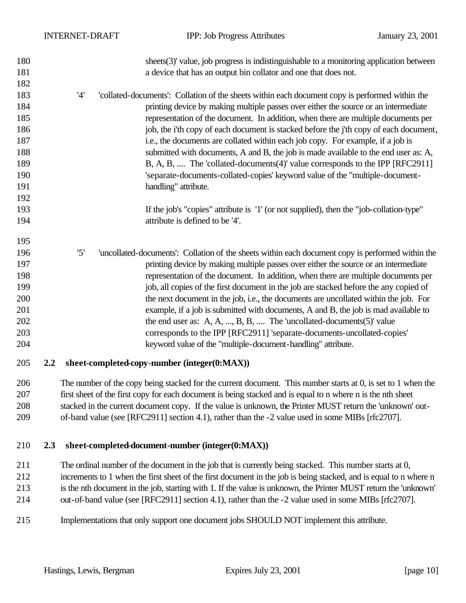| 180<br>181                                                         |     |     | sheets(3)' value, job progress is indistinguishable to a monitoring application between<br>a device that has an output bin collator and one that does not.                                                                                                                                                                                                                                                                                                                                                                                                                                                                                                                                                                                                                   |
|--------------------------------------------------------------------|-----|-----|------------------------------------------------------------------------------------------------------------------------------------------------------------------------------------------------------------------------------------------------------------------------------------------------------------------------------------------------------------------------------------------------------------------------------------------------------------------------------------------------------------------------------------------------------------------------------------------------------------------------------------------------------------------------------------------------------------------------------------------------------------------------------|
| 182<br>183<br>184<br>185<br>186<br>187<br>188<br>189<br>190<br>191 |     | '4' | 'collated-documents': Collation of the sheets within each document copy is performed within the<br>printing device by making multiple passes over either the source or an intermediate<br>representation of the document. In addition, when there are multiple documents per<br>job, the i'th copy of each document is stacked before the j'th copy of each document,<br>i.e., the documents are collated within each job copy. For example, if a job is<br>submitted with documents, A and B, the job is made available to the end user as: A,<br>B, A, B,  The 'collated-documents(4)' value corresponds to the IPP [RFC2911]<br>'separate-documents-collated-copies' keyword value of the "multiple-document-<br>handling" attribute.                                     |
| 192<br>193<br>194                                                  |     |     | If the job's "copies" attribute is '1' (or not supplied), then the "job-collation-type"<br>attribute is defined to be '4'.                                                                                                                                                                                                                                                                                                                                                                                                                                                                                                                                                                                                                                                   |
| 195<br>196<br>197<br>198<br>199<br>200<br>201<br>202<br>203<br>204 |     | '5' | 'uncollated-documents': Collation of the sheets within each document copy is performed within the<br>printing device by making multiple passes over either the source or an intermediate<br>representation of the document. In addition, when there are multiple documents per<br>job, all copies of the first document in the job are stacked before the any copied of<br>the next document in the job, i.e., the documents are uncollated within the job. For<br>example, if a job is submitted with documents, A and B, the job is mad available to<br>the end user as: A, A, , B, B,  The 'uncollated-documents $(5)$ ' value<br>corresponds to the IPP [RFC2911] 'separate-documents-uncollated-copies'<br>keyword value of the "multiple-document-handling" attribute. |
| 205                                                                | 2.2 |     | sheet-completed-copy-number (integer(0:MAX))                                                                                                                                                                                                                                                                                                                                                                                                                                                                                                                                                                                                                                                                                                                                 |
| 206<br>207                                                         |     |     | The number of the copy being stacked for the current document. This number starts at 0, is set to 1 when the<br>first sheet of the first copy for each document is being stacked and is equal to n where n is the nth sheet                                                                                                                                                                                                                                                                                                                                                                                                                                                                                                                                                  |

 stacked in the current document copy. If the value is unknown, the Printer MUST return the 'unknown' out-of-band value (see [RFC2911] section 4.1), rather than the -2 value used in some MIBs [rfc2707].

#### **2.3 sheet-completed-document-number (integer(0:MAX))**

 The ordinal number of the document in the job that is currently being stacked. This number starts at 0, increments to 1 when the first sheet of the first document in the job is being stacked, and is equal to n where n is the nth document in the job, starting with 1. If the value is unknown, the Printer MUST return the 'unknown' out-of-band value (see [RFC2911] section 4.1), rather than the -2 value used in some MIBs [rfc2707].

Implementations that only support one document jobs SHOULD NOT implement this attribute.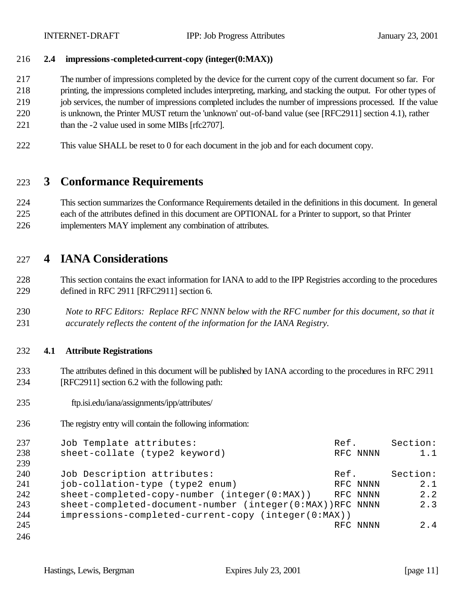#### **2.4 impressions-completed-current-copy (integer(0:MAX))**

The number of impressions completed by the device for the current copy of the current document so far. For

printing, the impressions completed includes interpreting, marking, and stacking the output. For other types of

- 219 job services, the number of impressions completed includes the number of impressions processed. If the value
- is unknown, the Printer MUST return the 'unknown' out-of-band value (see [RFC2911] section 4.1), rather
- 221 than the -2 value used in some MIBs [rfc2707].
- This value SHALL be reset to 0 for each document in the job and for each document copy.

# **3 Conformance Requirements**

 This section summarizes the Conformance Requirements detailed in the definitions in this document. In general each of the attributes defined in this document are OPTIONAL for a Printer to support, so that Printer implementers MAY implement any combination of attributes.

# **4 IANA Considerations**

 This section contains the exact information for IANA to add to the IPP Registries according to the procedures defined in RFC 2911 [RFC2911] section 6.

 *Note to RFC Editors: Replace RFC NNNN below with the RFC number for this document, so that it accurately reflects the content of the information for the IANA Registry.*

#### **4.1 Attribute Registrations**

- The attributes defined in this document will be published by IANA according to the procedures in RFC 2911 [RFC2911] section 6.2 with the following path:
- ftp.isi.edu/iana/assignments/ipp/attributes/
- The registry entry will contain the following information:

| 237 | Job Template attributes:                                 | Ref.     | Section: |
|-----|----------------------------------------------------------|----------|----------|
| 238 | sheet-collate (type2 keyword)                            | RFC NNNN | 1.1      |
| 239 |                                                          |          |          |
| 240 | Job Description attributes:                              | Ref.     | Section: |
| 241 | job-collation-type (type2 enum)                          | RFC NNNN | 2.1      |
| 242 | sheet-completed-copy-number (integer(0:MAX))             | RFC NNNN | 2.2      |
| 243 | sheet-completed-document-number (integer(0:MAX))RFC NNNN |          | 2.3      |
| 244 | impressions-completed-current-copy (integer(0:MAX))      |          |          |
| 245 |                                                          | RFC NNNN | 2.4      |
| 246 |                                                          |          |          |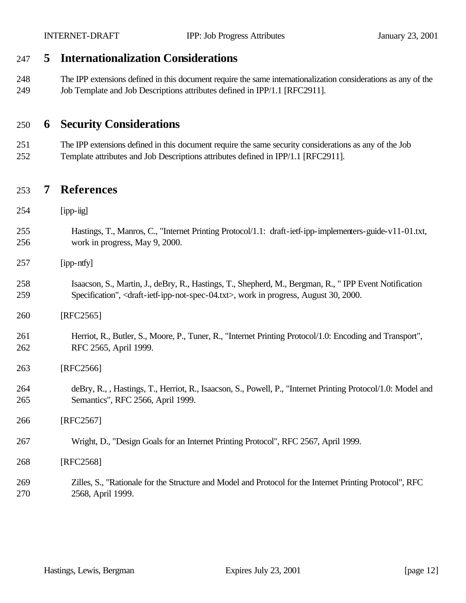### **5 Internationalization Considerations**

 The IPP extensions defined in this document require the same internationalization considerations as any of the Job Template and Job Descriptions attributes defined in IPP/1.1 [RFC2911].

### **6 Security Considerations**

 The IPP extensions defined in this document require the same security considerations as any of the Job Template attributes and Job Descriptions attributes defined in IPP/1.1 [RFC2911].

### **7 References**

- [ipp-iig]
- Hastings, T., Manros, C., "Internet Printing Protocol/1.1: draft-ietf-ipp-implementers-guide-v11-01.txt, work in progress, May 9, 2000.
- [ipp-ntfy]
- Isaacson, S., Martin, J., deBry, R., Hastings, T., Shepherd, M., Bergman, R., " IPP Event Notification Specification", <draft-ietf-ipp-not-spec-04.txt>, work in progress, August 30, 2000.
- [RFC2565]
- Herriot, R., Butler, S., Moore, P., Tuner, R., "Internet Printing Protocol/1.0: Encoding and Transport", RFC 2565, April 1999.
- [RFC2566]
- deBry, R., , Hastings, T., Herriot, R., Isaacson, S., Powell, P., "Internet Printing Protocol/1.0: Model and Semantics", RFC 2566, April 1999.
- [RFC2567]
- Wright, D., "Design Goals for an Internet Printing Protocol", RFC 2567, April 1999.
- [RFC2568]
- Zilles, S., "Rationale for the Structure and Model and Protocol for the Internet Printing Protocol", RFC 2568, April 1999.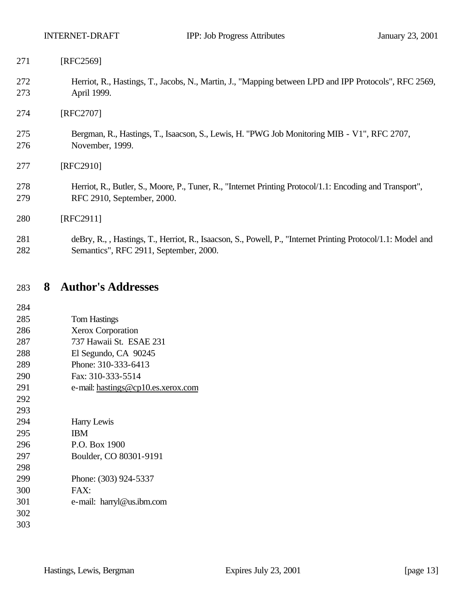Herriot, R., Hastings, T., Jacobs, N., Martin, J., "Mapping between LPD and IPP Protocols", RFC 2569, April 1999.

[RFC2707]

 Bergman, R., Hastings, T., Isaacson, S., Lewis, H. "PWG Job Monitoring MIB - V1", RFC 2707, November, 1999.

[RFC2910]

 Herriot, R., Butler, S., Moore, P., Tuner, R., "Internet Printing Protocol/1.1: Encoding and Transport", RFC 2910, September, 2000.

[RFC2911]

 deBry, R., , Hastings, T., Herriot, R., Isaacson, S., Powell, P., "Internet Printing Protocol/1.1: Model and Semantics", RFC 2911, September, 2000.

## **8 Author's Addresses**

| 284 |                                    |
|-----|------------------------------------|
| 285 | <b>Tom Hastings</b>                |
| 286 | <b>Xerox Corporation</b>           |
| 287 | 737 Hawaii St. ESAE 231            |
| 288 | El Segundo, CA 90245               |
| 289 | Phone: 310-333-6413                |
| 290 | Fax: 310-333-5514                  |
| 291 | e-mail: hastings@cp10.es.xerox.com |
| 292 |                                    |
| 293 |                                    |
| 294 | Harry Lewis                        |
| 295 | <b>IBM</b>                         |
| 296 | P.O. Box 1900                      |
| 297 | Boulder, CO 80301-9191             |
| 298 |                                    |
| 299 | Phone: (303) 924-5337              |
| 300 | FAX:                               |
| 301 | e-mail: harryl@us.ibm.com          |
| 302 |                                    |
| 303 |                                    |